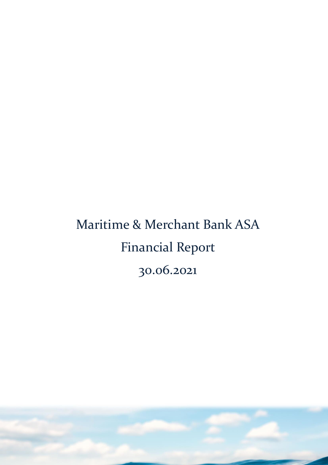# Maritime & Merchant Bank ASA Financial Report 30.06.2021

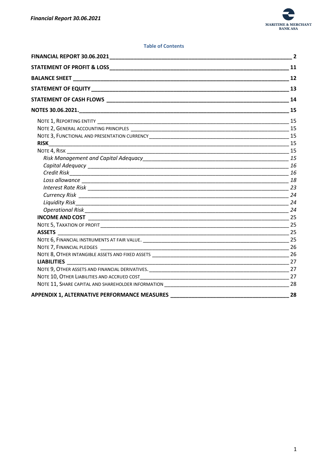

## **Table of Contents**

|                                                                                   | $\overline{2}$ |
|-----------------------------------------------------------------------------------|----------------|
|                                                                                   |                |
|                                                                                   |                |
|                                                                                   |                |
|                                                                                   |                |
|                                                                                   |                |
|                                                                                   |                |
|                                                                                   |                |
|                                                                                   |                |
|                                                                                   |                |
|                                                                                   |                |
|                                                                                   |                |
|                                                                                   |                |
|                                                                                   |                |
|                                                                                   |                |
|                                                                                   |                |
|                                                                                   |                |
|                                                                                   |                |
|                                                                                   |                |
|                                                                                   |                |
|                                                                                   |                |
|                                                                                   |                |
|                                                                                   |                |
|                                                                                   |                |
|                                                                                   |                |
|                                                                                   |                |
|                                                                                   |                |
|                                                                                   |                |
| NOTE 11, SHARE CAPITAL AND SHAREHOLDER INFORMATION NOTE AND RELEASED ASSESSED. 28 |                |
| <b>APPENDIX 1, ALTERNATIVE PERFORMANCE MEASURES</b>                               | 28             |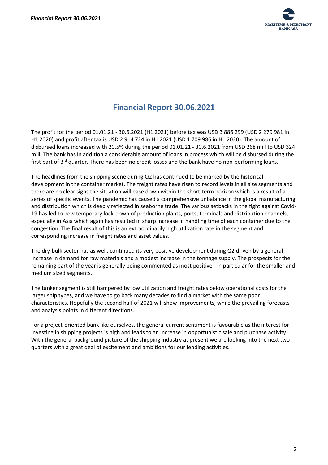

# **Financial Report 30.06.2021**

<span id="page-2-0"></span>The profit for the period 01.01.21 - 30.6.2021 (H1 2021) before tax was USD 3 886 299 (USD 2 279 981 in H1 2020) and profit after tax is USD 2 914 724 in H1 2021 (USD 1 709 986 in H1 2020). The amount of disbursed loans increased with 20.5% during the period 01.01.21 - 30.6.2021 from USD 268 mill to USD 324 mill. The bank has in addition a considerable amount of loans in process which will be disbursed during the first part of 3<sup>rd</sup> quarter. There has been no credit losses and the bank have no non-performing loans.

The headlines from the shipping scene during Q2 has continued to be marked by the historical development in the container market. The freight rates have risen to record levels in all size segments and there are no clear signs the situation will ease down within the short-term horizon which is a result of a series of specific events. The pandemic has caused a comprehensive unbalance in the global manufacturing and distribution which is deeply reflected in seaborne trade. The various setbacks in the fight against Covid-19 has led to new temporary lock-down of production plants, ports, terminals and distribution channels, especially in Asia which again has resulted in sharp increase in handling time of each container due to the congestion. The final result of this is an extraordinarily high utilization rate in the segment and corresponding increase in freight rates and asset values.

The dry-bulk sector has as well, continued its very positive development during Q2 driven by a general increase in demand for raw materials and a modest increase in the tonnage supply. The prospects for the remaining part of the year is generally being commented as most positive - in particular for the smaller and medium sized segments.

The tanker segment is still hampered by low utilization and freight rates below operational costs for the larger ship types, and we have to go back many decades to find a market with the same poor characteristics. Hopefully the second half of 2021 will show improvements, while the prevailing forecasts and analysis points in different directions.

For a project-oriented bank like ourselves, the general current sentiment is favourable as the interest for investing in shipping projects is high and leads to an increase in opportunistic sale and purchase activity. With the general background picture of the shipping industry at present we are looking into the next two quarters with a great deal of excitement and ambitions for our lending activities.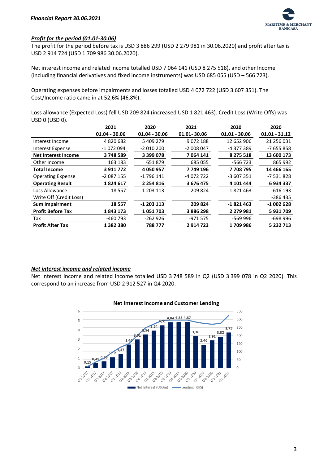

## *Profit for the period (01.01-30.06)*

The profit for the period before tax is USD 3 886 299 (USD 2 279 981 in 30.06.2020) and profit after tax is USD 2 914 724 (USD 1 709 986 30.06.2020).

Net interest income and related income totalled USD 7 064 141 (USD 8 275 518), and other Income (including financial derivatives and fixed income instruments) was USD 685 055 (USD – 566 723).

Operating expenses before impairments and losses totalled USD 4 072 722 (USD 3 607 351). The Cost/Income ratio came in at 52,6% (46,8%).

Loss allowance (Expected Loss) fell USD 209 824 (increased USD 1 821 463). Credit Loss (Write Offs) was USD 0 (USD 0).

|                            | 2021            | 2020            | 2021        | 2020            | 2020            |
|----------------------------|-----------------|-----------------|-------------|-----------------|-----------------|
|                            | $01.04 - 30.06$ | $01.04 - 30.06$ | 01.01-30.06 | $01.01 - 30.06$ | $01.01 - 31.12$ |
| Interest Income            | 4 820 682       | 5 409 279       | 9072188     | 12 652 906      | 21 256 031      |
| Interest Expense           | -1 072 094      | $-2010200$      | $-2008047$  | -4 377 389      | -7 655 858      |
| <b>Net Interest Income</b> | 3748589         | 3 399 078       | 7 064 141   | 8 275 518       | 13 600 173      |
| Other Income               | 163 183         | 651879          | 685 055     | $-566723$       | 865 992         |
| <b>Total Income</b>        | 3 911 772       | 4 050 957       | 7 749 196   | 7708795         | 14 466 165      |
| <b>Operating Expense</b>   | $-2087155$      | $-1796141$      | -4 072 722  | $-3607351$      | -7 531 828      |
| <b>Operating Result</b>    | 1824617         | 2 2 5 4 8 1 6   | 3 676 475   | 4 101 444       | 6934337         |
| Loss Allowance             | 18 5 5 7        | $-1203113$      | 209 824     | $-1821463$      | $-616$ 193      |
| Write Off (Credit Loss)    |                 |                 |             |                 | -386 435        |
| <b>Sum Impairment</b>      | 18557           | $-1203113$      | 209 824     | $-1821463$      | $-1002628$      |
| <b>Profit Before Tax</b>   | 1843173         | 1051703         | 3886298     | 2 279 981       | 5931709         |
| Tax                        | -460 793        | -262 926        | -971 575    | -569 996        | -698 996        |
| <b>Profit After Tax</b>    | 1382380         | 788 777         | 2914723     | 1709986         | 5 232 713       |
|                            |                 |                 |             |                 |                 |

## *Net interest income and related income*

Net interest income and related income totalled USD 3 748 589 in Q2 (USD 3 399 078 in Q2 2020). This correspond to an increase from USD 2 912 527 in Q4 2020.



## Net Interest Income and Customer Lending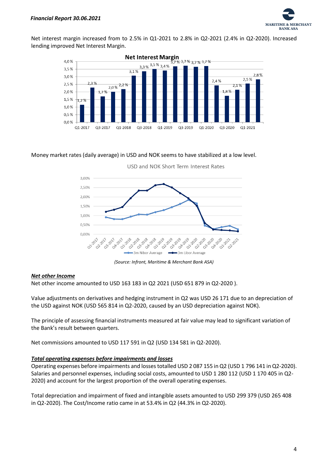

Net interest margin increased from to 2.5% in Q1-2021 to 2.8% in Q2-2021 (2.4% in Q2-2020). Increased lending improved Net Interest Margin.



## Money market rates (daily average) in USD and NOK seems to have stabilized at a low level.



USD and NOK Short Term Interest Rates

*(Source: Infront, Maritime & Merchant Bank ASA)*

## *Net other Income*

Net other income amounted to USD 163 183 in Q2 2021 (USD 651 879 in Q2-2020 ).

Value adjustments on derivatives and hedging instrument in Q2 was USD 26 171 due to an depreciation of the USD against NOK (USD 565 814 in Q2-2020, caused by an USD depreciation against NOK).

The principle of assessing financial instruments measured at fair value may lead to significant variation of the Bank's result between quarters.

Net commissions amounted to USD 117 591 in Q2 (USD 134 581 in Q2-2020).

## *Total operating expenses before impairments and losses*

Operating expenses before impairments and losses totalled USD 2 087 155 in Q2 (USD 1 796 141 in Q2-2020). Salaries and personnel expenses, including social costs, amounted to USD 1 280 112 (USD 1 170 405 in Q2- 2020) and account for the largest proportion of the overall operating expenses.

Total depreciation and impairment of fixed and intangible assets amounted to USD 299 379 (USD 265 408 in Q2-2020). The Cost/Income ratio came in at 53.4% in Q2 (44.3% in Q2-2020).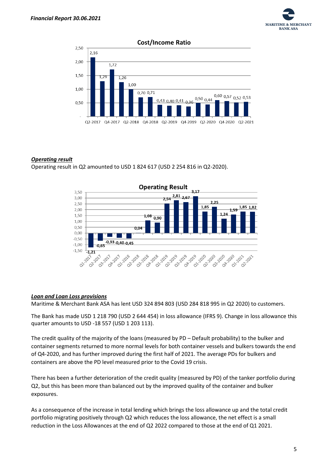



## *Operating result*

Operating result in Q2 amounted to USD 1 824 617 (USD 2 254 816 in Q2-2020).



## *Loan and Loan Loss provisions*

Maritime & Merchant Bank ASA has lent USD 324 894 803 (USD 284 818 995 in Q2 2020) to customers.

The Bank has made USD 1 218 790 (USD 2 644 454) in loss allowance (IFRS 9). Change in loss allowance this quarter amounts to USD -18 557 (USD 1 203 113).

The credit quality of the majority of the loans (measured by PD – Default probability) to the bulker and container segments returned to more normal levels for both container vessels and bulkers towards the end of Q4-2020, and has further improved during the first half of 2021. The average PDs for bulkers and containers are above the PD level measured prior to the Covid 19 crisis.

There has been a further deterioration of the credit quality (measured by PD) of the tanker portfolio during Q2, but this has been more than balanced out by the improved quality of the container and bulker exposures.

As a consequence of the increase in total lending which brings the loss allowance up and the total credit portfolio migrating positively through Q2 which reduces the loss allowance, the net effect is a small reduction in the Loss Allowances at the end of Q2 2022 compared to those at the end of Q1 2021.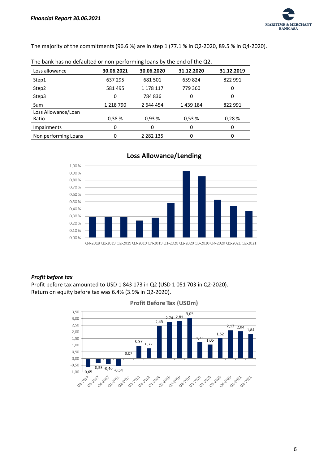

The majority of the commitments (96.6 %) are in step 1 (77.1 % in Q2-2020, 89.5 % in Q4-2020).

| $\frac{1}{2}$ . The paint nuclear actualleated of those performing found by the end of the QL. |            |               |            |            |  |  |
|------------------------------------------------------------------------------------------------|------------|---------------|------------|------------|--|--|
| Loss allowance                                                                                 | 30.06.2021 | 30.06.2020    | 31.12.2020 | 31.12.2019 |  |  |
| Step1                                                                                          | 637 295    | 681501        | 659824     | 822 991    |  |  |
| Step2                                                                                          | 581 495    | 1 178 117     | 779 360    | 0          |  |  |
| Step3                                                                                          | 0          | 784836        | 0          | 0          |  |  |
| Sum                                                                                            | 1 218 790  | 2 644 454     | 1439184    | 822 991    |  |  |
| Loss Allowance/Loan                                                                            |            |               |            |            |  |  |
| Ratio                                                                                          | 0.38%      | 0.93%         | 0.53%      | 0.28%      |  |  |
| <b>Impairments</b>                                                                             | 0          | 0             | 0          | 0          |  |  |
| Non performing Loans                                                                           |            | 2 2 8 2 1 3 5 | 0          | 0          |  |  |

| The bank has no defaulted or non-performing loans by the end of the Q2. |  |
|-------------------------------------------------------------------------|--|
|-------------------------------------------------------------------------|--|



# **Loss Allowance/Lending**

## *Profit before tax*

Profit before tax amounted to USD 1 843 173 in Q2 (USD 1 051 703 in Q2-2020). Return on equity before tax was 6.4% (3.9% in Q2-2020).



### **Profit Before Tax (USDm)**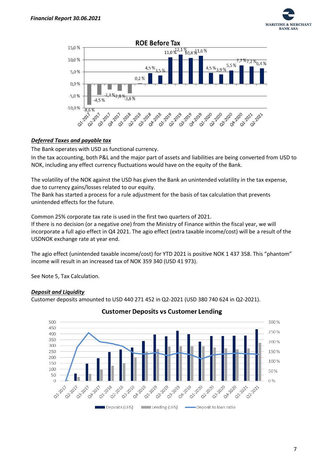



# *Deferred Taxes and payable tax*

The Bank operates with USD as functional currency.

In the tax accounting, both P&L and the major part of assets and liabilities are being converted from USD to NOK, including any effect currency fluctuations would have on the equity of the Bank.

The volatility of the NOK against the USD has given the Bank an unintended volatility in the tax expense, due to currency gains/losses related to our equity.

The Bank has started a process for a rule adjustment for the basis of tax calculation that prevents unintended effects for the future.

Common 25% corporate tax rate is used in the first two quarters of 2021.

If there is no decision (or a negative one) from the Ministry of Finance within the fiscal year, we will incorporate a full agio effect in Q4 2021. The agio effect (extra taxable income/cost) will be a result of the USDNOK exchange rate at year end.

The agio effect (unintended taxable income/cost) for YTD 2021 is positive NOK 1 437 358. This "phantom" income will result in an increased tax of NOK 359 340 (USD 41 973).

See Note 5, Tax Calculation.

# *Deposit and Liquidity*

Customer deposits amounted to USD 440 271 452 in Q2-2021 (USD 380 740 624 in Q2-2021).



# **Customer Deposits vs Customer Lending**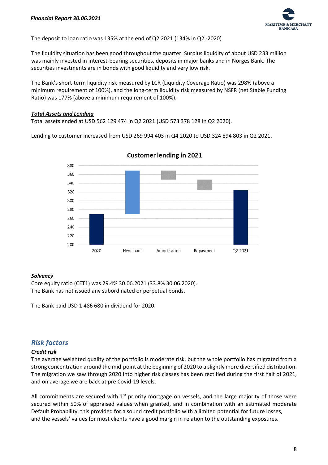

The deposit to loan ratio was 135% at the end of Q2 2021 (134% in Q2 -2020).

The liquidity situation has been good throughout the quarter. Surplus liquidity of about USD 233 million was mainly invested in interest-bearing securities, deposits in major banks and in Norges Bank. The securities investments are in bonds with good liquidity and very low risk.

The Bank's short-term liquidity risk measured by LCR (Liquidity Coverage Ratio) was 298% (above a minimum requirement of 100%), and the long-term liquidity risk measured by NSFR (net Stable Funding Ratio) was 177% (above a minimum requirement of 100%).

## *Total Assets and Lending*

Total assets ended at USD 562 129 474 in Q2 2021 (USD 573 378 128 in Q2 2020).

Lending to customer increased from USD 269 994 403 in Q4 2020 to USD 324 894 803 in Q2 2021.



**Customer lending in 2021** 

# *Solvency*

Core equity ratio (CET1) was 29.4% 30.06.2021 (33.8% 30.06.2020). The Bank has not issued any subordinated or perpetual bonds.

The Bank paid USD 1 486 680 in dividend for 2020.

# *Risk factors*

# *Credit risk*

The average weighted quality of the portfolio is moderate risk, but the whole portfolio has migrated from a strong concentration around the mid-point at the beginning of 2020 to a slightly more diversified distribution. The migration we saw through 2020 into higher risk classes has been rectified during the first half of 2021, and on average we are back at pre Covid-19 levels.

All commitments are secured with  $1<sup>st</sup>$  priority mortgage on vessels, and the large majority of those were secured within 50% of appraised values when granted, and in combination with an estimated moderate Default Probability, this provided for a sound credit portfolio with a limited potential for future losses, and the vessels' values for most clients have a good margin in relation to the outstanding exposures.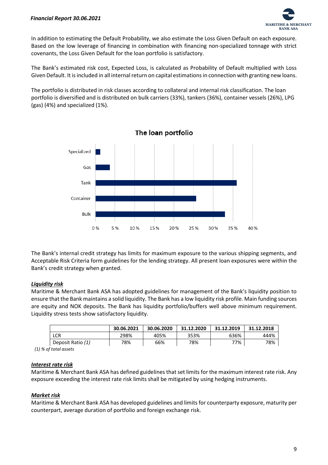

In addition to estimating the Default Probability, we also estimate the Loss Given Default on each exposure. Based on the low leverage of financing in combination with financing non-specialized tonnage with strict covenants, the Loss Given Default for the loan portfolio is satisfactory.

The Bank's estimated risk cost, Expected Loss, is calculated as Probability of Default multiplied with Loss Given Default. It is included in all internal return on capital estimations in connection with granting new loans.

The portfolio is distributed in risk classes according to collateral and internal risk classification. The loan portfolio is diversified and is distributed on bulk carriers (33%), tankers (36%), container vessels (26%), LPG (gas) (4%) and specialized (1%).



The Bank's internal credit strategy has limits for maximum exposure to the various shipping segments, and Acceptable Risk Criteria form guidelines for the lending strategy. All present loan exposures were within the Bank's credit strategy when granted.

# *Liquidity risk*

Maritime & Merchant Bank ASA has adopted guidelines for management of the Bank's liquidity position to ensure that the Bank maintains a solid liquidity. The Bank has a low liquidity risk profile. Main funding sources are equity and NOK deposits. The Bank has liquidity portfolio/buffers well above minimum requirement. Liquidity stress tests show satisfactory liquidity.

|                   | 30.06.2021 | 30.06.2020 | 31.12.2020 | 31.12.2019 | 31.12.2018 |
|-------------------|------------|------------|------------|------------|------------|
| LCR               | 298%       | 405%       | 353%       | 636%       | 444%       |
| Deposit Ratio (1) | 78%        | 66%        | 78%        | 77%        | 78%        |

 *(1) % of total assets*

# *Interest rate risk*

Maritime & Merchant Bank ASA has defined guidelines that set limits for the maximum interest rate risk. Any exposure exceeding the interest rate risk limits shall be mitigated by using hedging instruments.

# *Market risk*

Maritime & Merchant Bank ASA has developed guidelines and limits for counterparty exposure, maturity per counterpart, average duration of portfolio and foreign exchange risk.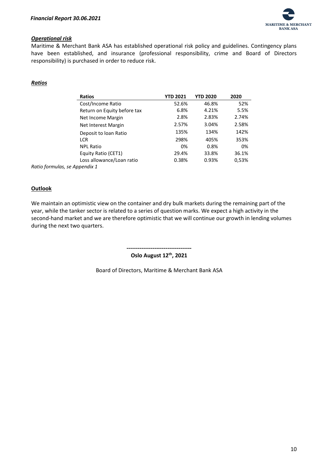

# *Operational risk*

Maritime & Merchant Bank ASA has established operational risk policy and guidelines. Contingency plans have been established, and insurance (professional responsibility, crime and Board of Directors responsibility) is purchased in order to reduce risk.

# *Ratios*

| <b>Ratios</b>               | <b>YTD 2021</b> | <b>YTD 2020</b> | 2020  |
|-----------------------------|-----------------|-----------------|-------|
| Cost/Income Ratio           | 52.6%           | 46.8%           | 52%   |
| Return on Equity before tax | 6.8%            | 4.21%           | 5.5%  |
| Net Income Margin           | 2.8%            | 2.83%           | 2.74% |
| Net Interest Margin         | 2.57%           | 3.04%           | 2.58% |
| Deposit to loan Ratio       | 135%            | 134%            | 142%  |
| <b>LCR</b>                  | 298%            | 405%            | 353%  |
| <b>NPL Ratio</b>            | 0%              | 0.8%            | 0%    |
| Equity Ratio (CET1)         | 29.4%           | 33.8%           | 36.1% |
| Loss allowance/Loan ratio   | 0.38%           | 0.93%           | 0,53% |
| \nnendix 1                  |                 |                 |       |

*Ratio formulas, se Appendix 1*

# **Outlook**

We maintain an optimistic view on the container and dry bulk markets during the remaining part of the year, while the tanker sector is related to a series of question marks. We expect a high activity in the second-hand market and we are therefore optimistic that we will continue our growth in lending volumes during the next two quarters.

**-----------------------------------**

**Oslo August 12th , 2021**

Board of Directors, Maritime & Merchant Bank ASA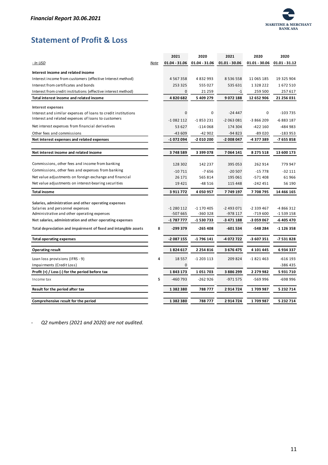

# <span id="page-11-0"></span>**Statement of Profit & Loss**

|                                                                                                                 |      | 2021              | 2020               | 2021            | 2020            | 2020            |
|-----------------------------------------------------------------------------------------------------------------|------|-------------------|--------------------|-----------------|-----------------|-----------------|
| - In USD                                                                                                        | Note | $01.04 - 31.06$   | $01.04 - 31.06$    | $01.01 - 30.06$ | $01.01 - 30.06$ | $01.01 - 31.12$ |
| Interest income and related income                                                                              |      |                   |                    |                 |                 |                 |
| Interest income from customers (effective Interest method)                                                      |      | 4 5 6 7 3 5 8     | 4 8 3 2 9 9 3      | 8 5 3 6 5 5 8   | 11 065 185      | 19 325 904      |
| Interest from certificates and bonds                                                                            |      | 253 325           | 555 027            | 535 631         | 1 3 2 8 2 2 2   | 1672510         |
| Interest from credit institutions (effective interest method)                                                   |      | $\mathbf 0$       | 21 2 5 9           | $-1$            | 259 500         | 257 617         |
| Total interest income and related income                                                                        |      | 4820682           | 5 409 279          | 9072188         | 12 652 906      | 21 256 031      |
| <b>Interest expenses</b>                                                                                        |      |                   |                    |                 |                 |                 |
| Interest and similar expenses of loans to credit institutions                                                   |      | $\mathbf 0$       | $\mathbf 0$        | $-24447$        | $\mathbf 0$     | $-103735$       |
| Interest and related expenses of loans to customers                                                             |      | $-1082112$        | $-1853231$         | $-2063081$      | -3 866 209      | -6 883 187      |
| Net interest expenses from financial derivatives                                                                |      | 53 627            | $-114068$          | 174 304         | -422 160        | -484 983        |
| Other fees and commissions                                                                                      |      | $-43609$          | $-42902$           | $-94823$        | $-89020$        | $-183953$       |
| Net interest expenses and related expenses                                                                      |      | -1 072 094        | -2 010 200         | -2 008 047      | -4 377 389      | -7 655 858      |
|                                                                                                                 |      |                   |                    |                 |                 |                 |
| Net interest income and related income                                                                          |      | 3748589           | 3 399 078          | 7 064 141       | 8 275 518       | 13 600 173      |
| Commissions, other fees and income from banking                                                                 |      |                   |                    |                 |                 |                 |
| Commissions, other fees and expenses from banking                                                               |      | 128 302           | 142 237            | 395 053         | 262914          | 779 947         |
|                                                                                                                 |      | $-10711$          | $-7656$            | $-20507$        | $-15778$        | $-32111$        |
| Net value adjustments on foreign exchange and financial<br>Net value adjustments on interest-bearing securities |      | 26 171<br>19 4 21 | 565814<br>$-48516$ | 195 061         | $-571408$       | 61966<br>56 190 |
|                                                                                                                 |      |                   |                    | 115 448         | -242 451        |                 |
| <b>Total income</b>                                                                                             |      | 3911772           | 4 050 957          | 7749197         | 7708795         | 14 466 165      |
| Salaries, administration and other operating expenses                                                           |      |                   |                    |                 |                 |                 |
| Salaries and personnel expenses                                                                                 |      | $-1280112$        | $-1$ 170 405       | $-2493071$      | -2 339 467      | -4 866 312      |
| Administrative and other operating expenses                                                                     |      | -507 665          | -360 328           | -978 117        | -719 600        | -1 539 158      |
| Net salaries, administration and other operating expenses                                                       |      | -1 787 777        | -1 530 733         | -3 471 188      | -3 059 067      | -6 405 470      |
| Total depreciation and impairment of fixed and intangible assets                                                | 8    | $-299379$         | $-265408$          | $-601534$       | -548 284        | $-1126358$      |
| <b>Total operating expenses</b>                                                                                 |      | -2 087 155        | -1 796 141         | -4 072 722      | -3 607 351      | -7 531 828      |
| <b>Operating result</b>                                                                                         |      | 1824617           | 2 2 5 4 8 1 6      | 3 676 475       | 4 101 445       | 6934337         |
| Loan loss provisions (IFRS - 9)                                                                                 | 4    | 18 5 5 7          | $-1203113$         | 209824          | $-1821463$      | $-616$ 193      |
| Impairments (Credit Loss)                                                                                       |      | $\mathbf 0$       |                    |                 |                 | -386 435        |
| Profit $(+)$ / Loss $(-)$ for the period before tax                                                             |      | 1843173           | 1051703            | 3 886 299       | 2 279 982       | 5931710         |
| Income tax                                                                                                      | 5    | -460 793          | $-262926$          | $-971575$       | -569 996        | -698 996        |
| Result for the period after tax                                                                                 |      | 1382380           | 788 777            | 2914724         | 1709987         | 5 232 714       |
| Comprehensive result for the period                                                                             |      | 1382380           | 788777             | 2914724         | 1709987         | 5 232 714       |
|                                                                                                                 |      |                   |                    |                 |                 |                 |

- *Q2 numbers (2021 and 2020) are not audited.*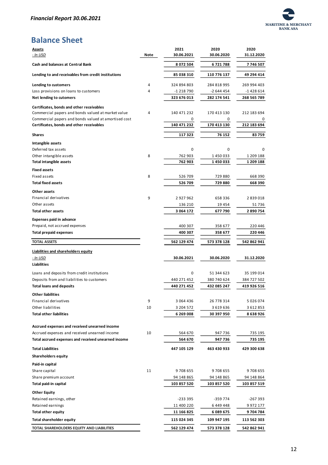

# <span id="page-12-0"></span>**Balance Sheet**

| <b>Assets</b>                                        |             | 2021        | 2020        | 2020          |
|------------------------------------------------------|-------------|-------------|-------------|---------------|
| <u>- In USD</u>                                      | <b>Note</b> | 30.06.2021  | 30.06.2020  | 31.12.2020    |
| <b>Cash and balances at Central Bank</b>             |             | 8 072 504   | 6721788     | 7746507       |
| Lending to and receivables from credit institutions  |             | 85 038 310  | 110 776 137 | 49 294 414    |
| Lending to customers                                 | 4           | 324 894 803 | 284 818 995 | 269 994 403   |
| Loss provisions on loans to customers                | 4           | -1 218 790  | -2 644 454  | -1428614      |
| Net lending to cutomers                              |             | 323 676 013 | 282 174 541 | 268 565 789   |
| Certificates, bonds and other receivables            |             |             |             |               |
| Commercial papers and bonds valued at market value   | 4           | 140 471 232 | 170 413 130 | 212 183 694   |
| Commercial papers and bonds valued at amortised cost |             | 0           | 0           | 0             |
| Certificates, bonds and other receivables            |             | 140 471 232 | 170 413 130 | 212 183 694   |
|                                                      |             |             |             |               |
| <b>Shares</b>                                        |             | 117 323     | 76 152      | 83759         |
| Intangible assets                                    |             |             |             |               |
| Deferred tax assets                                  |             | 0           | 0           | 0             |
| Other intangible assets                              | 8           | 762 903     | 1450033     | 1 209 188     |
| <b>Total intangible assets</b>                       |             | 762 903     | 1450033     | 1 209 188     |
| <b>Fixed assets</b>                                  |             |             |             |               |
| Fixed assets                                         | 8           | 526 709     | 729 880     | 668 390       |
| <b>Total fixed assets</b>                            |             | 526 709     | 729880      | 668 390       |
| Other assets                                         |             |             |             |               |
| Financial derivatives                                | 9           | 2927962     | 658 336     | 2839018       |
| Other assets                                         |             | 136 210     | 19 4 54     | 51736         |
| <b>Total other assets</b>                            |             | 3 064 172   | 677790      | 2 890 754     |
| <b>Expenses paid in advance</b>                      |             |             |             |               |
| Prepaid, not accrued expenses                        |             | 400 307     | 358 677     | 220 446       |
| <b>Total prepaid expenses</b>                        |             | 400 307     | 358 677     | 220 446       |
|                                                      |             |             |             |               |
|                                                      |             |             |             |               |
| <b>TOTAL ASSETS</b>                                  |             | 562 129 474 | 573 378 128 | 542 862 941   |
| <b>Liabilities and shareholders equity</b>           |             |             |             |               |
| <u>- In USD</u>                                      |             | 30.06.2021  | 30.06.2020  | 31.12.2020    |
| <b>Liabilities</b>                                   |             |             |             |               |
|                                                      |             |             |             |               |
| Loans and deposits from credit institutions          |             | 0           | 51 344 623  | 35 199 014    |
| Deposits from and liabilities to customers           |             | 440 271 452 | 380 740 624 | 384 727 502   |
| <b>Total loans and deposits</b>                      |             | 440 271 452 | 432 085 247 | 419 926 516   |
| <b>Other liabilities</b>                             |             |             |             |               |
| Financial derivatives                                | 9           | 3 064 436   | 26 778 314  | 5 0 2 6 0 7 4 |
| Other liabilities                                    | 10          | 3 204 572   | 3 619 636   | 3 612 853     |
| <b>Total other liabilities</b>                       |             | 6 269 008   | 30 397 950  | 8 638 926     |
|                                                      |             |             |             |               |
| Accrued expenses and received unearned income        |             |             |             |               |
| Accrued expenses and received unearned income        | 10          | 564 670     | 947 736     | 735 195       |
| Total accrued expenses and received unearned income  |             | 564 670     | 947 736     | 735 195       |
| <b>Total Liabilities</b>                             |             | 447 105 129 | 463 430 933 | 429 300 638   |
| <b>Shareholders equity</b>                           |             |             |             |               |
| Paid-in capital                                      |             |             |             |               |
| Share capital                                        | 11          | 9708655     | 9708655     | 9 708 655     |
| Share premium account                                |             | 94 148 865  | 94 148 865  | 94 148 864    |
| Total paid-in capital                                |             | 103 857 520 | 103 857 520 | 103 857 519   |
| <b>Other Equity</b>                                  |             |             |             |               |
| Retained earnings, other                             |             | -233 395    | -359 774    | -267 393      |
| Retained earnings                                    |             | 11 400 220  | 6449448     | 9 972 177     |
| <b>Total other equity</b>                            |             | 11 166 825  | 6 089 675   | 9 704 784     |
| <b>Total shareholder equity</b>                      |             | 115 024 345 | 109 947 195 | 113 562 303   |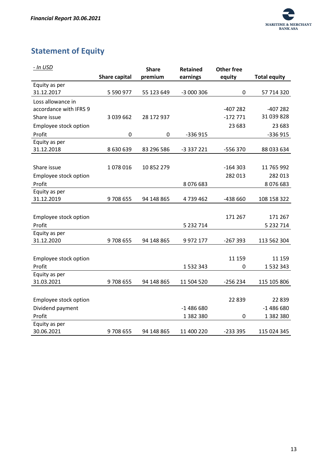

# <span id="page-13-0"></span>**Statement of Equity**

| - In USD               |                      | <b>Share</b> | <b>Retained</b> | <b>Other free</b> |                     |
|------------------------|----------------------|--------------|-----------------|-------------------|---------------------|
|                        | <b>Share capital</b> | premium      | earnings        | equity            | <b>Total equity</b> |
| Equity as per          |                      |              |                 |                   |                     |
| 31.12.2017             | 5 590 977            | 55 123 649   | -3 000 306      | 0                 | 57 714 320          |
| Loss allowance in      |                      |              |                 |                   |                     |
| accordance with IFRS 9 |                      |              |                 | -407 282          | $-407282$           |
| Share issue            | 3 039 662            | 28 172 937   |                 | $-172771$         | 31 039 828          |
| Employee stock option  |                      |              |                 | 23 683            | 23 683              |
| Profit                 | $\mathbf 0$          | 0            | $-336915$       |                   | -336 915            |
| Equity as per          |                      |              |                 |                   |                     |
| 31.12.2018             | 8 630 639            | 83 296 586   | -3 337 221      | -556 370          | 88 033 634          |
|                        |                      |              |                 |                   |                     |
| Share issue            | 1078016              | 10 852 279   |                 | $-164303$         | 11 765 992          |
| Employee stock option  |                      |              |                 | 282 013           | 282 013             |
| Profit                 |                      |              | 8 0 7 6 6 8 3   |                   | 8076683             |
| Equity as per          |                      |              |                 |                   |                     |
| 31.12.2019             | 9708655              | 94 148 865   | 4739462         | -438 660          | 108 158 322         |
|                        |                      |              |                 |                   |                     |
| Employee stock option  |                      |              |                 | 171 267           | 171 267             |
| Profit                 |                      |              | 5 232 714       |                   | 5 232 714           |
| Equity as per          |                      |              |                 |                   |                     |
| 31.12.2020             | 9708655              | 94 148 865   | 9 972 177       | $-267393$         | 113 562 304         |
|                        |                      |              |                 |                   |                     |
| Employee stock option  |                      |              |                 | 11 159            | 11 159              |
| Profit                 |                      |              | 1 532 343       | 0                 | 1 532 343           |
| Equity as per          |                      |              |                 |                   |                     |
| 31.03.2021             | 9708655              | 94 148 865   | 11 504 520      | $-256234$         | 115 105 806         |
|                        |                      |              |                 |                   |                     |
| Employee stock option  |                      |              |                 | 22 8 39           | 22 8 39             |
| Dividend payment       |                      |              | $-1486680$      |                   | $-1486680$          |
| Profit                 |                      |              | 1 382 380       | 0                 | 1 382 380           |
| Equity as per          |                      |              |                 |                   |                     |
| 30.06.2021             | 9708655              | 94 148 865   | 11 400 220      | $-2333395$        | 115 024 345         |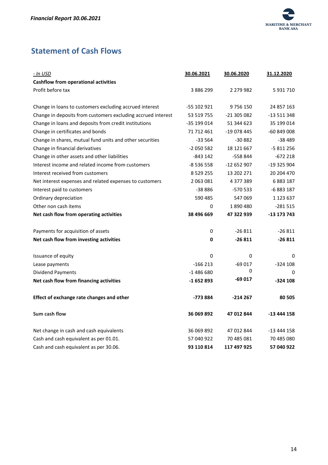

# <span id="page-14-0"></span>**Statement of Cash Flows**

| <u>- In USD</u>                                              | 30.06.2021    | 30.06.2020  | 31.12.2020  |
|--------------------------------------------------------------|---------------|-------------|-------------|
| <b>Cashflow from operational activities</b>                  |               |             |             |
| Profit before tax                                            | 3 886 299     | 2 279 982   | 5 931 710   |
|                                                              |               |             |             |
| Change in loans to customers excluding accrued interest      | -55 102 921   | 9756150     | 24 857 163  |
| Change in deposits from customers excluding accrued interest | 53 519 755    | -21 305 082 | -13 511 348 |
| Change in loans and deposits from credit institutions        | -35 199 014   | 51 344 623  | 35 199 014  |
| Change in certificates and bonds                             | 71 712 461    | -19 078 445 | $-60849008$ |
| Change in shares, mutual fund units and other securities     | -33 564       | $-30882$    | -38 489     |
| Change in financial derivatives                              | $-2050582$    | 18 121 667  | $-5811256$  |
| Change in other assets and other liabilities                 | -843 142      | -558 844    | $-672218$   |
| Interest income and related income from customers            | $-8536558$    | -12 652 907 | -19 325 904 |
| Interest received from customers                             | 8 5 2 9 2 5 5 | 13 202 271  | 20 204 470  |
| Net interest expenses and related expenses to customers      | 2 063 081     | 4 377 389   | 6 883 187   |
| Interest paid to customers                                   | -38 886       | -570 533    | -6 883 187  |
| Ordinary depreciation                                        | 590 485       | 547 069     | 1 123 637   |
| Other non cash items                                         | 0             | 1890480     | $-281515$   |
| Net cash flow from operating activities                      | 38 496 669    | 47 322 939  | -13 173 743 |
| Payments for acquisition of assets                           | 0             | $-26811$    | $-26811$    |
| Net cash flow from investing activities                      | 0             | $-26811$    | $-26811$    |
| Issuance of equity                                           | 0             | 0           | 0           |
| Lease payments                                               | $-166213$     | $-69017$    | $-324108$   |
| <b>Dividend Payments</b>                                     | $-1486680$    | 0           | 0           |
| Net cash flow from financing activities                      | $-1652893$    | $-69017$    | $-324108$   |
| Effect of exchange rate changes and other                    | -773 884      | $-214267$   | 80 505      |
| Sum cash flow                                                | 36 069 892    | 47 012 844  | -13 444 158 |
| Net change in cash and cash equivalents                      | 36 069 892    | 47 012 844  | -13 444 158 |
| Cash and cash equivalent as per 01.01.                       | 57 040 922    | 70 485 081  | 70 485 080  |
| Cash and cash equivalent as per 30.06.                       | 93 110 814    | 117 497 925 | 57 040 922  |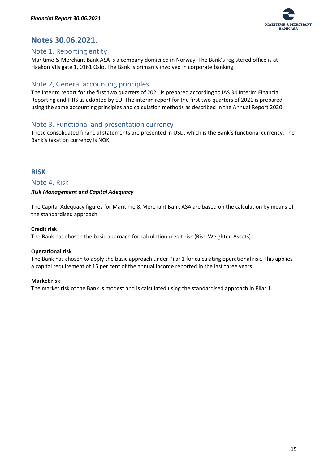

# <span id="page-15-0"></span>**Notes 30.06.2021.**

# <span id="page-15-1"></span>Note 1, Reporting entity

Maritime & Merchant Bank ASA is a company domiciled in Norway. The Bank's registered office is at Haakon VIIs gate 1, 0161 Oslo. The Bank is primarily involved in corporate banking.

# <span id="page-15-2"></span>Note 2, General accounting principles

The interim report for the first two quarters of 2021 is prepared according to IAS 34 Interim Financial Reporting and IFRS as adopted by EU. The interim report for the first two quarters of 2021 is prepared using the same accounting principles and calculation methods as described in the Annual Report 2020.

# <span id="page-15-3"></span>Note 3, Functional and presentation currency

These consolidated financial statements are presented in USD, which is the Bank's functional currency. The Bank's taxation currency is NOK.

# <span id="page-15-4"></span>**RISK**

<span id="page-15-5"></span>Note 4, Risk

# <span id="page-15-6"></span>*Risk Management and Capital Adequacy*

The Capital Adequacy figures for Maritime & Merchant Bank ASA are based on the calculation by means of the standardised approach.

# **Credit risk**

The Bank has chosen the basic approach for calculation credit risk (Risk-Weighted Assets).

# **Operational risk**

The Bank has chosen to apply the basic approach under Pilar 1 for calculating operational risk. This applies a capital requirement of 15 per cent of the annual income reported in the last three years.

# **Market risk**

The market risk of the Bank is modest and is calculated using the standardised approach in Pilar 1.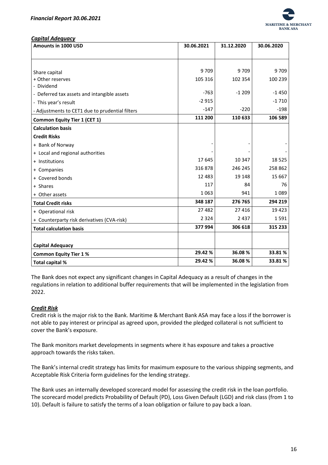

<span id="page-16-0"></span>*Capital Adequacy*

| Amounts in 1000 USD                             | 30.06.2021 | 31.12.2020 | 30.06.2020 |
|-------------------------------------------------|------------|------------|------------|
|                                                 |            |            |            |
|                                                 |            |            |            |
| Share capital                                   | 9709       | 9709       | 9709       |
| + Other reserves                                | 105 316    | 102 354    | 100 239    |
| - Dividend                                      |            |            |            |
| - Deferred tax assets and intangible assets     | $-763$     | $-1209$    | $-1450$    |
| - This year's result                            | $-2915$    |            | $-1710$    |
| - Adjustments to CET1 due to prudential filters | $-147$     | $-220$     | $-198$     |
| <b>Common Equity Tier 1 (CET 1)</b>             | 111 200    | 110 633    | 106 589    |
| <b>Calculation basis</b>                        |            |            |            |
| <b>Credit Risks</b>                             |            |            |            |
| + Bank of Norway                                |            |            |            |
| + Local and regional authorities                |            |            |            |
| + Institutions                                  | 17645      | 10 347     | 18 5 25    |
| + Companies                                     | 316878     | 246 245    | 258 862    |
| + Covered bonds                                 | 12 4 8 3   | 19 148     | 15 667     |
| + Shares                                        | 117        | 84         | 76         |
| + Other assets                                  | 1063       | 941        | 1089       |
| <b>Total Credit risks</b>                       | 348 187    | 276 765    | 294 219    |
| + Operational risk                              | 27 482     | 27 4 16    | 19 4 23    |
| + Counterparty risk derivatives (CVA-risk)      | 2 3 2 4    | 2 4 3 7    | 1591       |
| <b>Total calculation basis</b>                  | 377994     | 306 618    | 315 233    |
|                                                 |            |            |            |
| <b>Capital Adequacy</b>                         |            |            |            |
| <b>Common Equity Tier 1%</b>                    | 29.42 %    | 36.08%     | 33.81%     |
| Total capital %                                 | 29.42 %    | 36.08%     | 33.81%     |

The Bank does not expect any significant changes in Capital Adequacy as a result of changes in the regulations in relation to additional buffer requirements that will be implemented in the legislation from 2022.

# <span id="page-16-1"></span>*Credit Risk*

Credit risk is the major risk to the Bank. Maritime & Merchant Bank ASA may face a loss if the borrower is not able to pay interest or principal as agreed upon, provided the pledged collateral is not sufficient to cover the Bank's exposure.

The Bank monitors market developments in segments where it has exposure and takes a proactive approach towards the risks taken.

The Bank's internal credit strategy has limits for maximum exposure to the various shipping segments, and Acceptable Risk Criteria form guidelines for the lending strategy.

The Bank uses an internally developed scorecard model for assessing the credit risk in the loan portfolio. The scorecard model predicts Probability of Default (PD), Loss Given Default (LGD) and risk class (from 1 to 10). Default is failure to satisfy the terms of a loan obligation or failure to pay back a loan.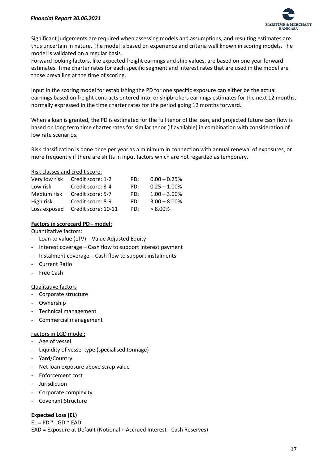

Significant judgements are required when assessing models and assumptions, and resulting estimates are thus uncertain in nature. The model is based on experience and criteria well known in scoring models. The model is validated on a regular basis.

Forward looking factors, like expected freight earnings and ship values, are based on one year forward estimates. Time charter rates for each specific segment and interest rates that are used in the model are those prevailing at the time of scoring.

Input in the scoring model for establishing the PD for one specific exposure can either be the actual earnings based on freight contracts entered into, or shipbrokers earnings estimates for the next 12 months, normally expressed in the time charter rates for the period going 12 months forward.

When a loan is granted, the PD is estimated for the full tenor of the loan, and projected future cash flow is based on long term time charter rates for similar tenor (if available) in combination with consideration of low rate scenarios.

Risk classification is done once per year as a minimum in connection with annual renewal of exposures, or more frequently if there are shifts in input factors which are not regarded as temporary.

## Risk classes and credit score:

| Very low risk | Credit score: 1-2   | PD: | $0.00 - 0.25%$  |
|---------------|---------------------|-----|-----------------|
| Low risk      | Credit score: 3-4   | PD: | $0.25 - 1.00\%$ |
| Medium risk   | Credit score: 5-7   | PD: | $1.00 - 3.00\%$ |
| High risk     | Credit score: 8-9   | PD: | $3.00 - 8.00\%$ |
| Loss exposed  | Credit score: 10-11 | PD: | $> 8.00\%$      |

# **Factors in scorecard PD - model:**

## Quantitative factors:

- Loan to value (LTV) Value Adjusted Equity
- Interest coverage Cash flow to support interest payment
- Instalment coverage Cash flow to support instalments
- Current Ratio
- **Free Cash**

# Qualitative factors

- Corporate structure
- Ownership
- Technical management
- Commercial management

## Factors in LGD model:

- Age of vessel
- Liquidity of vessel type (specialised tonnage)
- Yard/Country
- Net loan exposure above scrap value
- Enforcement cost
- Jurisdiction
- Corporate complexity
- Covenant Structure

# **Expected Loss (EL)**

 $EL = PD * LGD * EAD$ EAD = Exposure at Default (Notional + Accrued Interest - Cash Reserves)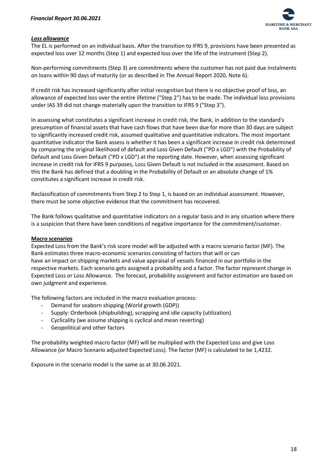

# <span id="page-18-0"></span>*Loss allowance*

The EL is performed on an individual basis. After the transition to IFRS 9, provisions have been presented as expected loss over 12 months (Step 1) and expected loss over the life of the instrument (Step 2).

Non-performing commitments (Step 3) are commitments where the customer has not paid due instalments on loans within 90 days of maturity (or as described in The Annual Report 2020, Note 6).

If credit risk has increased significantly after initial recognition but there is no objective proof of loss, an allowance of expected loss over the entire lifetime ("Step 2") has to be made. The individual loss provisions under IAS 39 did not change materially upon the transition to IFRS 9 ("Step 3").

In assessing what constitutes a significant increase in credit risk, the Bank, in addition to the standard's presumption of financial assets that have cash flows that have been due for more than 30 days are subject to significantly increased credit risk, assumed qualitative and quantitative indicators. The most important quantitative indicator the Bank assess is whether it has been a significant increase in credit risk determined by comparing the original likelihood of default and Loss Given Default ("PD x LGD") with the Probability of Default and Loss Given Default ("PD x LGD") at the reporting date. However, when assessing significant increase in credit risk for IFRS 9 purposes, Loss Given Default is not included in the assessment. Based on this the Bank has defined that a doubling in the Probability of Default or an absolute change of 1% constitutes a significant increase in credit risk.

Reclassification of commitments from Step 2 to Step 1, is based on an individual assessment. However, there must be some objective evidence that the commitment has recovered.

The Bank follows qualitative and quantitative indicators on a regular basis and in any situation where there is a suspicion that there have been conditions of negative importance for the commitment/customer.

## **Macro scenarios**

Expected Loss from the Bank's risk score model will be adjusted with a macro scenario factor (MF). The Bank estimates three macro-economic scenarios consisting of factors that will or can have an impact on shipping markets and value appraisal of vessels financed in our portfolio in the respective markets. Each scenario gets assigned a probability and a factor. The factor represent change in Expected Loss or Loss Allowance. The forecast, probability assignment and factor estimation are based on own judgment and experience.

The following factors are included in the macro evaluation process:

- Demand for seaborn shipping (World growth (GDP))
- Supply: Orderbook (shipbuilding), scrapping and idle capacity (utilization)
- Cyclicality (we assume shipping is cyclical and mean reverting)
- Geopolitical and other factors

The probability weighted macro factor (MF) will be multiplied with the Expected Loss and give Loss Allowance (or Macro Scenario adjusted Expected Loss). The factor (MF) is calculated to be 1,4232.

Exposure in the scenario model is the same as at 30.06.2021.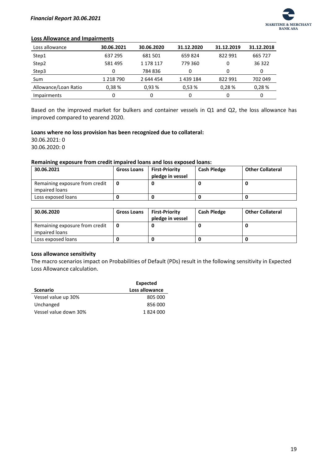

## **Loss Allowance and Impairments**

| Loss allowance       | 30.06.2021    | 30.06.2020 | 31.12.2020 | 31.12.2019 | 31.12.2018 |
|----------------------|---------------|------------|------------|------------|------------|
| Step1                | 637 295       | 681 501    | 659824     | 822 991    | 665 727    |
| Step2                | 581 495       | 1 178 117  | 779 360    | 0          | 36 322     |
| Step3                | 0             | 784 836    | 0          | 0          | 0          |
| Sum                  | 1 2 1 8 7 9 0 | 2 644 454  | 1439184    | 822 991    | 702 049    |
| Allowance/Loan Ratio | 0.38%         | 0.93%      | 0,53%      | 0.28%      | 0.28%      |
| <b>Impairments</b>   | 0             | 0          | 0          |            | 0          |

Based on the improved market for bulkers and container vessels in Q1 and Q2, the loss allowance has improved compared to yearend 2020.

#### **Loans where no loss provision has been recognized due to collateral:**

30.06.2021: 0 30.06.2020: 0

#### **Remaining exposure from credit impaired loans and loss exposed loans:**

| 30.06.2021                                       | <b>Gross Loans</b> | <b>First-Priority</b><br>pledge in vessel | <b>Cash Pledge</b> | <b>Other Collateral</b> |
|--------------------------------------------------|--------------------|-------------------------------------------|--------------------|-------------------------|
| Remaining exposure from credit<br>impaired loans |                    |                                           |                    |                         |
| Loss exposed loans                               |                    |                                           |                    |                         |

| 30.06.2020                                       | <b>Gross Loans</b> | <b>First-Priority</b><br>pledge in vessel | <b>Cash Pledge</b> | <b>Other Collateral</b> |
|--------------------------------------------------|--------------------|-------------------------------------------|--------------------|-------------------------|
| Remaining exposure from credit<br>impaired loans |                    |                                           |                    |                         |
| Loss exposed loans                               |                    |                                           |                    |                         |

## **Loss allowance sensitivity**

The macro scenarios impact on Probabilities of Default (PDs) result in the following sensitivity in Expected Loss Allowance calculation.

|                       | <b>Expected</b> |
|-----------------------|-----------------|
| <b>Scenario</b>       | Loss allowance  |
| Vessel value up 30%   | 805 000         |
| Unchanged             | 856,000         |
| Vessel value down 30% | 1824000         |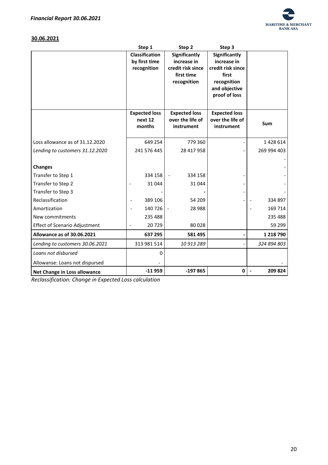

# **30.06.2021**

|                                      | Step 1                            | Step 2               | Step 3               |               |
|--------------------------------------|-----------------------------------|----------------------|----------------------|---------------|
|                                      | <b>Classification</b>             | Significantly        | Significantly        |               |
|                                      | by first time                     | increase in          | increase in          |               |
|                                      | recognition                       | credit risk since    | credit risk since    |               |
|                                      |                                   | first time           | first                |               |
|                                      |                                   | recognition          | recognition          |               |
|                                      |                                   |                      | and objective        |               |
|                                      |                                   |                      | proof of loss        |               |
|                                      |                                   |                      |                      |               |
|                                      | <b>Expected loss</b>              | <b>Expected loss</b> | <b>Expected loss</b> |               |
|                                      | next 12                           | over the life of     | over the life of     |               |
|                                      | months                            | instrument           | instrument           | <b>Sum</b>    |
|                                      |                                   |                      |                      |               |
| Loss allowance as of 31.12.2020      | 649 254                           | 779 360              |                      | 1428614       |
| Lending to customers 31.12.2020      | 241 576 445                       | 28 417 958           |                      | 269 994 403   |
|                                      |                                   |                      |                      |               |
| <b>Changes</b>                       |                                   |                      |                      |               |
| Transfer to Step 1                   | 334 158                           | 334 158              |                      |               |
| Transfer to Step 2                   | 31044                             | 31 044               |                      |               |
| Transfer to Step 3                   |                                   |                      |                      |               |
| Reclassification                     | 389 106                           | 54 209               |                      | 334 897       |
| Amortization                         | 140726                            | 28 9 88              |                      | 169 714       |
| New commitments                      | 235 488                           |                      |                      | 235 488       |
| <b>Effect of Scenario Adjustment</b> | 20729<br>$\overline{\phantom{a}}$ | 80 0 28              |                      | 59 299        |
| Allowance as of 30.06.2021           | 637 295                           | 581 495              |                      | 1 2 1 8 7 9 0 |
| Lending to customers 30.06.2021      | 313 981 514                       | 10 913 289           |                      | 324 894 803   |
| Loans not disbursed                  | 0                                 |                      |                      |               |
| Allowanse: Loans not dispursed       |                                   |                      |                      |               |
| Net Change in Loss allowance         | $-11959$                          | $-197865$            | 0                    | 209 824       |

*Reclassification: Change in Expected Loss calculation*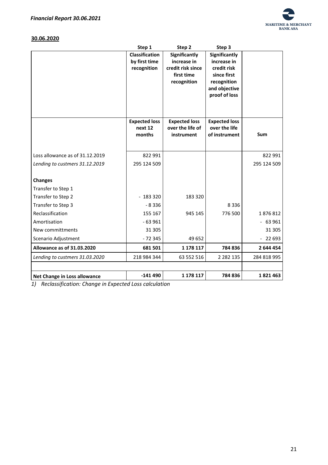

# **30.06.2020**

|                                   | Step 1                                                | Step 2                                                                         | Step 3                                                                                     |             |
|-----------------------------------|-------------------------------------------------------|--------------------------------------------------------------------------------|--------------------------------------------------------------------------------------------|-------------|
|                                   | <b>Classification</b><br>by first time<br>recognition | Significantly<br>increase in<br>credit risk since<br>first time<br>recognition | Significantly<br>increase in<br>credit risk<br>since first<br>recognition<br>and objective |             |
|                                   | <b>Expected loss</b><br>next 12<br>months             | <b>Expected loss</b><br>over the life of<br>instrument                         | proof of loss<br><b>Expected loss</b><br>over the life<br>of instrument                    | Sum         |
|                                   |                                                       |                                                                                |                                                                                            |             |
| Loss allowance as of 31.12.2019   | 822 991                                               |                                                                                |                                                                                            | 822 991     |
| Lending to custmers 31.12.2019    | 295 124 509                                           |                                                                                |                                                                                            | 295 124 509 |
| <b>Changes</b>                    |                                                       |                                                                                |                                                                                            |             |
| Transfer to Step 1                |                                                       |                                                                                |                                                                                            |             |
| Transfer to Step 2                | $-183320$                                             | 183 320                                                                        |                                                                                            |             |
| Transfer to Step 3                | $-8336$                                               |                                                                                | 8336                                                                                       |             |
| Reclassification                  | 155 167                                               | 945 145                                                                        | 776 500                                                                                    | 1876812     |
| Amortisation                      | $-63961$                                              |                                                                                |                                                                                            | $-63961$    |
| New committments                  | 31 305                                                |                                                                                |                                                                                            | 31 305      |
| Scenario Adjustment               | $-72345$                                              | 49 652                                                                         |                                                                                            | $-22693$    |
| <b>Allowance as of 31.03.2020</b> | 681 501                                               | 1 1 7 8 1 1 7                                                                  | 784 836                                                                                    | 2 644 454   |
| Lending to custmers 31.03.2020    | 218 984 344                                           | 63 552 516                                                                     | 2 2 8 2 1 3 5                                                                              | 284 818 995 |
|                                   |                                                       |                                                                                |                                                                                            |             |
| Net Change in Loss allowance      | $-141490$                                             | 1 178 117                                                                      | 784 836                                                                                    | 1821463     |

*1) Reclassification: Change in Expected Loss calculation*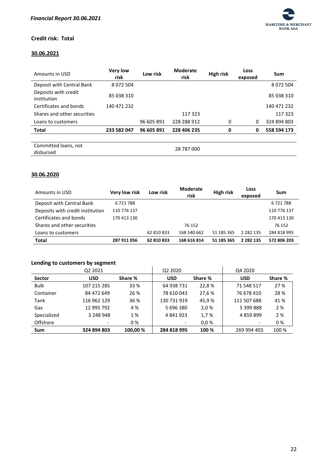

# **Credit risk: Total**

# **30.06.2021**

| Amounts in USD                      | <b>Very low</b><br>risk | Low risk   | <b>Moderate</b><br>risk | High risk | Loss<br>exposed | Sum           |
|-------------------------------------|-------------------------|------------|-------------------------|-----------|-----------------|---------------|
| Deposit with Central Bank           | 8 0 7 2 5 0 4           |            |                         |           |                 | 8 0 7 2 5 0 4 |
| Deposits with credit<br>institution | 85 038 310              |            |                         |           |                 | 85 038 310    |
| Certificates and bonds              | 140 471 232             |            |                         |           |                 | 140 471 232   |
| Shares and other securities         |                         |            | 117 323                 |           |                 | 117 323       |
| Loans to customers                  |                         | 96 605 891 | 228 288 912             | 0         | 0               | 324 894 803   |
| <b>Total</b>                        | 233 582 047             | 96 605 891 | 228 406 235             | 0         | 0               | 558 594 173   |
|                                     |                         |            |                         |           |                 |               |
| Committed loans, not<br>disbursed   |                         |            | 28 787 000              |           |                 |               |

# **30.06.2020**

| Amounts in USD                   | Very low risk | Low risk   | <b>Moderate</b><br>risk | High risk  | Loss<br>exposed | Sum         |
|----------------------------------|---------------|------------|-------------------------|------------|-----------------|-------------|
| Deposit with Central Bank        | 6721788       |            |                         |            |                 | 6721788     |
| Deposits with credit institution | 110 776 137   |            |                         |            |                 | 110 776 137 |
| Certificates and bonds           | 170 413 130   |            |                         |            |                 | 170 413 130 |
| Shares and other securities      |               |            | 76 152                  |            |                 | 76 152      |
| Loans to customers               |               | 62 810 833 | 168 540 662             | 51 185 365 | 2 2 8 2 1 3 5   | 284 818 995 |
| <b>Total</b>                     | 287 911 056   | 62 810 833 | 168 616 814             | 51 185 365 | 2 2 8 2 1 3 5   | 572 806 203 |

# **Lending to customers by segment**

|               | Q <sub>2</sub> 2021 |          | Q2 2020     |         | Q4 2020     |         |
|---------------|---------------------|----------|-------------|---------|-------------|---------|
| <b>Sector</b> | <b>USD</b>          | Share %  | <b>USD</b>  | Share % | <b>USD</b>  | Share % |
| <b>Bulk</b>   | 107 215 285         | 33 %     | 64 938 731  | 22,8%   | 71 548 517  | 27 %    |
| Container     | 84 472 649          | 26 %     | 78 610 043  | 27,6 %  | 76 678 410  | 28 %    |
| Tank          | 116 962 129         | 36 %     | 130 731 919 | 45,9%   | 111 507 688 | 41 %    |
| Gas           | 12 995 792          | 4 %      | 5 696 380   | 2,0%    | 5 399 888   | 2 %     |
| Specialized   | 3 248 948           | 1 %      | 4841923     | 1,7%    | 4 859 899   | 2%      |
| Offshore      |                     | 0%       |             | 0.0%    |             | 0%      |
| Sum           | 324 894 803         | 100,00 % | 284 818 995 | 100 %   | 269 994 403 | 100 %   |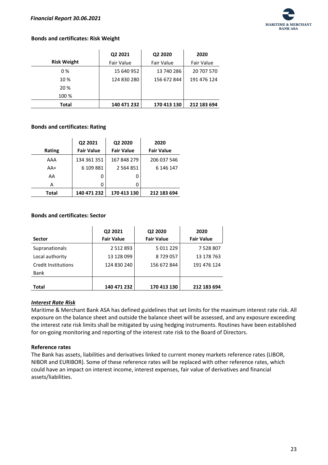

# **Bonds and certificates: Risk Weight**

|                    | Q2 2021     | Q2 2020     | 2020        |
|--------------------|-------------|-------------|-------------|
| <b>Risk Weight</b> | Fair Value  | Fair Value  | Fair Value  |
| 0%                 | 15 640 952  | 13 740 286  | 20 707 570  |
| 10 %               | 124 830 280 | 156 672 844 | 191 476 124 |
| 20 %               |             |             |             |
| 100 %              |             |             |             |
| <b>Total</b>       | 140 471 232 | 170 413 130 | 212 183 694 |

## **Bonds and certificates: Rating**

|        | Q2 2021           | Q2 2020           | 2020              |
|--------|-------------------|-------------------|-------------------|
| Rating | <b>Fair Value</b> | <b>Fair Value</b> | <b>Fair Value</b> |
| AAA    | 134 361 351       | 167 848 279       | 206 037 546       |
| $AA+$  | 6 109 881         | 2 5 6 4 8 5 1     | 6 146 147         |
| AA     | O                 | 0                 |                   |
| А      | O                 | 0                 |                   |
| Total  | 140 471 232       | 170 413 130       | 212 183 694       |

## **Bonds and certificates: Sector**

| <b>Sector</b>       | Q2 2021<br><b>Fair Value</b> | Q2 2020<br><b>Fair Value</b> | 2020<br><b>Fair Value</b> |
|---------------------|------------------------------|------------------------------|---------------------------|
| Supranationals      | 2 5 1 2 8 9 3                | 5 011 229                    | 7 528 807                 |
| Local authority     | 13 128 099                   | 8729057                      | 13 178 763                |
| Credit Institutions | 124 830 240                  | 156 672 844                  | 191 476 124               |
| Bank                |                              |                              |                           |
| <b>Total</b>        | 140 471 232                  | 170 413 130                  | 212 183 694               |

## <span id="page-23-0"></span>*Interest Rate Risk*

Maritime & Merchant Bank ASA has defined guidelines that set limits for the maximum interest rate risk. All exposure on the balance sheet and outside the balance sheet will be assessed, and any exposure exceeding the interest rate risk limits shall be mitigated by using hedging instruments. Routines have been established for on-going monitoring and reporting of the interest rate risk to the Board of Directors.

## **Reference rates**

The Bank has assets, liabilities and derivatives linked to current money markets reference rates (LIBOR, NIBOR and EURIBOR). Some of these reference rates will be replaced with other reference rates, which could have an impact on interest income, interest expenses, fair value of derivatives and financial assets/liabilities.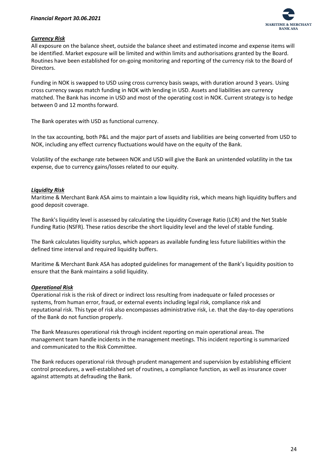

# <span id="page-24-0"></span>*Currency Risk*

All exposure on the balance sheet, outside the balance sheet and estimated income and expense items will be identified. Market exposure will be limited and within limits and authorisations granted by the Board. Routines have been established for on-going monitoring and reporting of the currency risk to the Board of Directors.

Funding in NOK is swapped to USD using cross currency basis swaps, with duration around 3 years. Using cross currency swaps match funding in NOK with lending in USD. Assets and liabilities are currency matched. The Bank has income in USD and most of the operating cost in NOK. Current strategy is to hedge between 0 and 12 months forward.

The Bank operates with USD as functional currency.

In the tax accounting, both P&L and the major part of assets and liabilities are being converted from USD to NOK, including any effect currency fluctuations would have on the equity of the Bank.

Volatility of the exchange rate between NOK and USD will give the Bank an unintended volatility in the tax expense, due to currency gains/losses related to our equity.

# <span id="page-24-1"></span>*Liquidity Risk*

Maritime & Merchant Bank ASA aims to maintain a low liquidity risk, which means high liquidity buffers and good deposit coverage.

The Bank's liquidity level is assessed by calculating the Liquidity Coverage Ratio (LCR) and the Net Stable Funding Ratio (NSFR). These ratios describe the short liquidity level and the level of stable funding.

The Bank calculates liquidity surplus, which appears as available funding less future liabilities within the defined time interval and required liquidity buffers.

Maritime & Merchant Bank ASA has adopted guidelines for management of the Bank's liquidity position to ensure that the Bank maintains a solid liquidity.

# <span id="page-24-2"></span>*Operational Risk*

Operational risk is the risk of direct or indirect loss resulting from inadequate or failed processes or systems, from human error, fraud, or external events including legal risk, compliance risk and reputational risk. This type of risk also encompasses administrative risk, i.e. that the day-to-day operations of the Bank do not function properly.

The Bank Measures operational risk through incident reporting on main operational areas. The management team handle incidents in the management meetings. This incident reporting is summarized and communicated to the Risk Committee.

The Bank reduces operational risk through prudent management and supervision by establishing efficient control procedures, a well-established set of routines, a compliance function, as well as insurance cover against attempts at defrauding the Bank.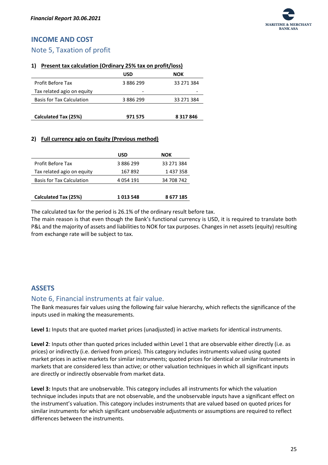# <span id="page-25-0"></span>**INCOME AND COST**

# <span id="page-25-1"></span>Note 5, Taxation of profit

## **1) Present tax calculation (Ordinary 25% tax on profit/loss)**

|                                  | USD       | NOK           |
|----------------------------------|-----------|---------------|
| Profit Before Tax                | 3886299   | 33 271 384    |
| Tax related agio on equity       |           |               |
| <b>Basis for Tax Calculation</b> | 3 886 299 | 33 271 384    |
|                                  |           |               |
| Calculated Tax (25%)             | 971 575   | 8 3 1 7 8 4 6 |

# **2) Full currency agio on Equity (Previous method)**

|                                  | USD       | NOK        |
|----------------------------------|-----------|------------|
| Profit Before Tax                | 3 886 299 | 33 271 384 |
| Tax related agio on equity       | 167892    | 1 437 358  |
| <b>Basis for Tax Calculation</b> | 4 054 191 | 34 708 742 |
|                                  |           |            |
| Calculated Tax (25%)             | 1013548   | 8 677 185  |

The calculated tax for the period is 26.1% of the ordinary result before tax.

The main reason is that even though the Bank's functional currency is USD, it is required to translate both P&L and the majority of assets and liabilities to NOK for tax purposes. Changes in net assets (equity) resulting from exchange rate will be subject to tax.

# <span id="page-25-2"></span>**ASSETS**

# <span id="page-25-3"></span>Note 6, Financial instruments at fair value.

The Bank measures fair values using the following fair value hierarchy, which reflects the significance of the inputs used in making the measurements.

**Level 1:** Inputs that are quoted market prices (unadjusted) in active markets for identical instruments.

**Level 2**: Inputs other than quoted prices included within Level 1 that are observable either directly (i.e. as prices) or indirectly (i.e. derived from prices). This category includes instruments valued using quoted market prices in active markets for similar instruments; quoted prices for identical or similar instruments in markets that are considered less than active; or other valuation techniques in which all significant inputs are directly or indirectly observable from market data.

**Level 3:** Inputs that are unobservable. This category includes all instruments for which the valuation technique includes inputs that are not observable, and the unobservable inputs have a significant effect on the instrument's valuation. This category includes instruments that are valued based on quoted prices for similar instruments for which significant unobservable adjustments or assumptions are required to reflect differences between the instruments.

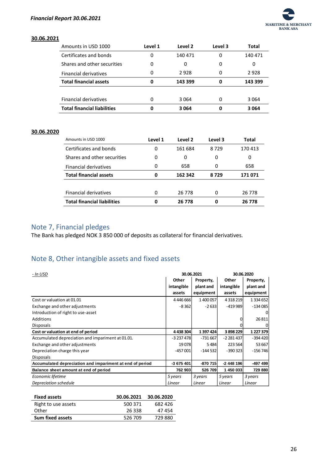

### **30.06.2021**

| Amounts in USD 1000                | Level 1 | Level 2 | Level 3 | <b>Total</b> |
|------------------------------------|---------|---------|---------|--------------|
| Certificates and bonds             | 0       | 140 471 | 0       | 140 471      |
| Shares and other securities        | 0       | 0       | 0       | 0            |
| <b>Financial derivatives</b>       | 0       | 2928    | 0       | 2928         |
| <b>Total financial assets</b>      | 0       | 143 399 | 0       | 143 399      |
|                                    |         |         |         |              |
| Financial derivatives              | 0       | 3 0 6 4 | 0       | 3064         |
| <b>Total financial liabilities</b> | 0       | 3064    | 0       | 3 0 6 4      |

# **30.06.2020**

| Amounts in USD 1000                | Level 1 | Level 2 | Level 3 | Total   |
|------------------------------------|---------|---------|---------|---------|
| Certificates and bonds             | 0       | 161 684 | 8729    | 170413  |
| Shares and other securities        | 0       | 0       | 0       | 0       |
| <b>Financial derivatives</b>       | 0       | 658     | 0       | 658     |
| <b>Total financial assets</b>      | 0       | 162 342 | 8729    | 171 071 |
|                                    |         |         |         |         |
| <b>Financial derivatives</b>       | 0       | 26 778  | 0       | 26 778  |
| <b>Total financial liabilities</b> | 0       | 26 778  | 0       | 26 778  |

# <span id="page-26-0"></span>Note 7, Financial pledges

The Bank has pledged NOK  $\frac{8}{3}$  850 000 of deposits as collateral for financial derivatives.

# <span id="page-26-1"></span>Note 8, Other intangible assets and fixed assets

| - In USD                                                 |            | 30.06.2021 |               | 30.06.2020    |
|----------------------------------------------------------|------------|------------|---------------|---------------|
|                                                          | Other      | Property,  | Other         | Property,     |
|                                                          | intangible | plant and  | intangible    | plant and     |
|                                                          | assets     | equipment  | assets        | equipment     |
| Cost or valuation at 01.01                               | 4446666    | 1400057    | 4 3 1 8 2 1 9 | 1 3 3 4 6 5 2 |
| Exchange and other adjustments                           | $-8362$    | $-2633$    | $-419989$     | $-134085$     |
| Introduction of right to use-asset                       |            |            |               | $\Omega$      |
| Additions                                                |            |            | 0             | 26 811        |
| <b>Disposals</b>                                         |            |            | 0             | 0             |
| Cost or valuation at end of period                       | 4438304    | 1 397 424  | 3898229       | 1 2 2 7 3 7 9 |
| Accumulated depreciation and impariment at 01.01.        | $-3237478$ | $-731667$  | $-2281437$    | -394 420      |
| Exchange and other adjustments                           | 19078      | 5484       | 223 564       | 53 667        |
| Depreciation charge this year                            | $-457001$  | $-144532$  | $-390323$     | $-156746$     |
| <b>Disposals</b>                                         |            |            |               |               |
| Accumulated depreciation and impariment at end of period | -3 675 401 | $-870715$  | -2 448 196    | $-497$ 499    |
| Balance sheet amount at end of period                    | 762 903    | 526 709    | 1 450 033     | 729 880       |
| Economic lifetime                                        | 5 years    | 3 years    | 5 years       | 3 years       |
| Depreciation schedule                                    | Linear     | Linear     | Linear        | Linear        |

| <b>Fixed assets</b>     | 30.06.2021 | 30.06.2020 |
|-------------------------|------------|------------|
| Right to use assets     | 500 371    | 682 426    |
| Other                   | 26 338     | 47 454     |
| <b>Sum fixed assets</b> | 526 709    | 729.880    |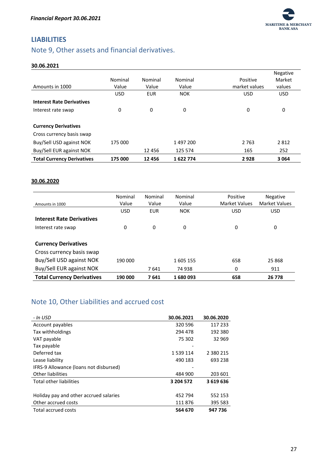

# <span id="page-27-0"></span>**LIABILITIES**

# <span id="page-27-1"></span>Note 9, Other assets and financial derivatives.

## **30.06.2021**

|                                   |            |            |            |               | Negative   |
|-----------------------------------|------------|------------|------------|---------------|------------|
|                                   | Nominal    | Nominal    | Nominal    | Positive      | Market     |
| Amounts in 1000                   | Value      | Value      | Value      | market values | values     |
|                                   | <b>USD</b> | <b>EUR</b> | <b>NOK</b> | <b>USD</b>    | <b>USD</b> |
| <b>Interest Rate Derivatives</b>  |            |            |            |               |            |
| Interest rate swap                | 0          | 0          | 0          | 0             | 0          |
|                                   |            |            |            |               |            |
| <b>Currency Derivatives</b>       |            |            |            |               |            |
| Cross currency basis swap         |            |            |            |               |            |
| Buy/Sell USD against NOK          | 175 000    |            | 1497200    | 2 7 6 3       | 2812       |
| Buy/Sell EUR against NOK          |            | 12456      | 125 574    | 165           | 252        |
| <b>Total Currency Derivatives</b> | 175 000    | 12 4 5 6   | 1622774    | 2928          | 3064       |

## **30.06.2020**

| Amounts in 1000                   | Nominal<br>Value | Nominal<br>Value | Nominal<br>Value | Positive<br><b>Market Values</b> | <b>Negative</b><br><b>Market Values</b> |
|-----------------------------------|------------------|------------------|------------------|----------------------------------|-----------------------------------------|
|                                   | <b>USD</b>       | <b>EUR</b>       | <b>NOK</b>       | <b>USD</b>                       | <b>USD</b>                              |
| <b>Interest Rate Derivatives</b>  |                  |                  |                  |                                  |                                         |
| Interest rate swap                | 0                | 0                | 0                | 0                                | 0                                       |
|                                   |                  |                  |                  |                                  |                                         |
| <b>Currency Derivatives</b>       |                  |                  |                  |                                  |                                         |
| Cross currency basis swap         |                  |                  |                  |                                  |                                         |
| Buy/Sell USD against NOK          | 190 000          |                  | 1605 155         | 658                              | 25 868                                  |
| Buy/Sell EUR against NOK          |                  | 7641             | 74 938           | 0                                | 911                                     |
| <b>Total Currency Derivatives</b> | 190 000          | 7641             | 1680093          | 658                              | 26 778                                  |

# <span id="page-27-2"></span>Note 10, Other Liabilities and accrued cost

| - In USD                               | 30.06.2021 | 30.06.2020    |
|----------------------------------------|------------|---------------|
| Account payables                       | 320 596    | 117 233       |
| Tax withholdings                       | 294 478    | 192 380       |
| VAT payable                            | 75 302     | 32 969        |
| Tax payable                            |            |               |
| Deferred tax                           | 1 539 114  | 2 3 8 0 2 1 5 |
| Lease liability                        | 490 183    | 693 238       |
| IFRS-9 Allowance (loans not disbursed) |            |               |
| <b>Other liabilities</b>               | 484 900    | 203 601       |
| <b>Total other liabilities</b>         | 3 204 572  | 3619636       |
|                                        |            |               |
| Holiday pay and other accrued salaries | 452 794    | 552 153       |
| Other accrued costs                    | 111876     | 395 583       |
| <b>Total accrued costs</b>             | 564 670    | 947 736       |